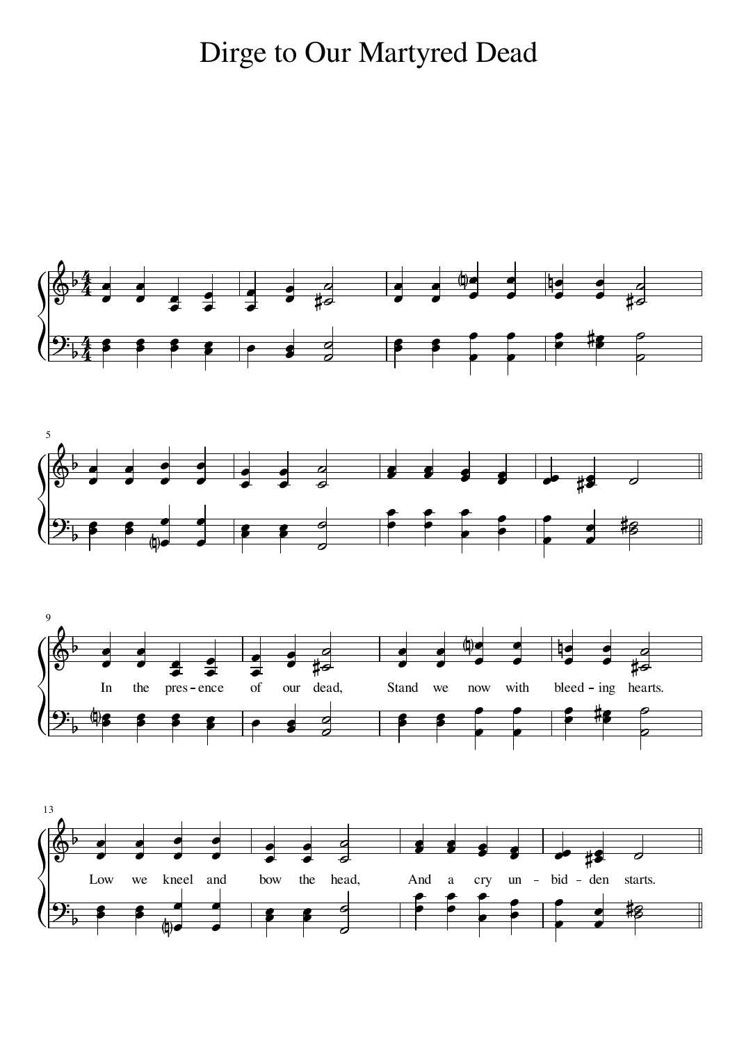## Dirge to Our Martyred Dead

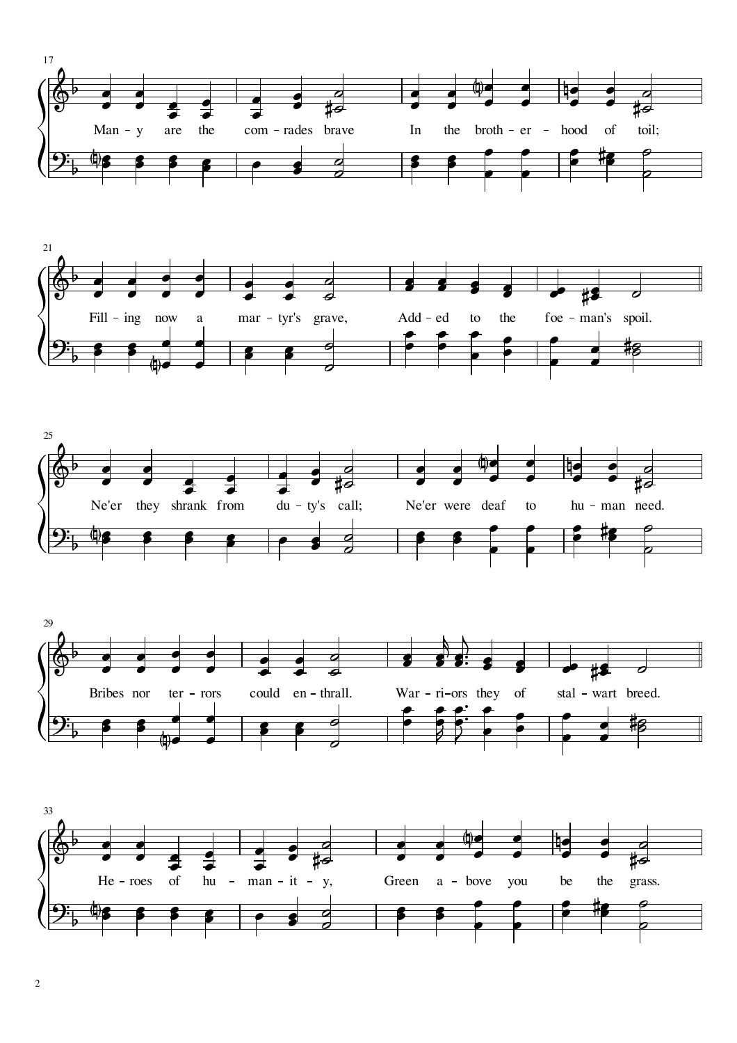